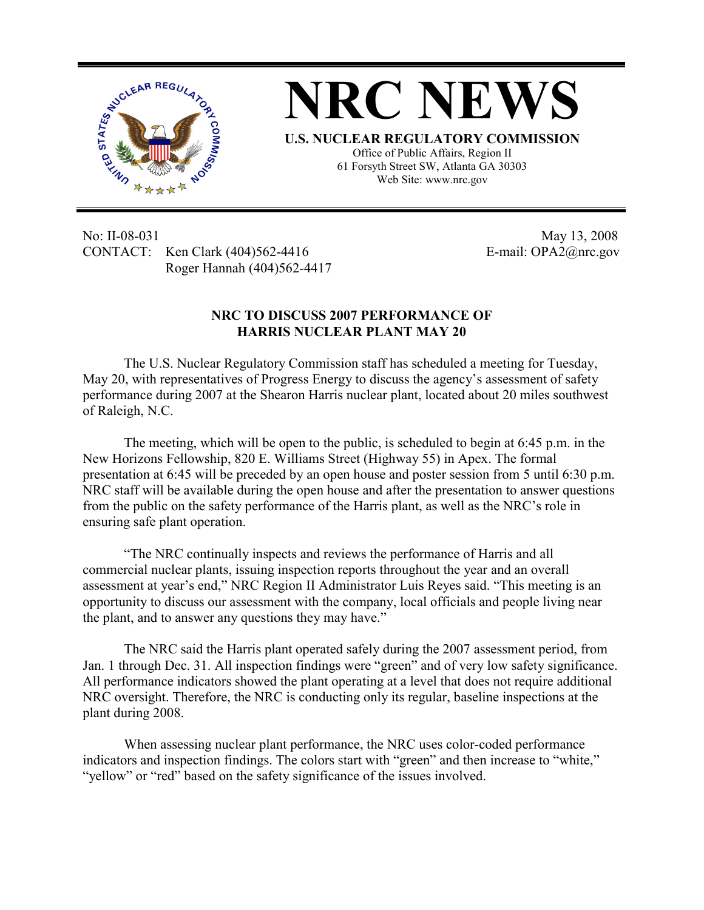

No: II-08-031 May 13, 2008 CONTACT: Ken Clark (404)562-4416 E-mail: OPA2@nrc.gov Roger Hannah (404)562-4417

## **NRC TO DISCUSS 2007 PERFORMANCE OF HARRIS NUCLEAR PLANT MAY 20**

The U.S. Nuclear Regulatory Commission staff has scheduled a meeting for Tuesday, May 20, with representatives of Progress Energy to discuss the agency's assessment of safety performance during 2007 at the Shearon Harris nuclear plant, located about 20 miles southwest of Raleigh, N.C.

The meeting, which will be open to the public, is scheduled to begin at 6:45 p.m. in the New Horizons Fellowship, 820 E. Williams Street (Highway 55) in Apex. The formal presentation at 6:45 will be preceded by an open house and poster session from 5 until 6:30 p.m. NRC staff will be available during the open house and after the presentation to answer questions from the public on the safety performance of the Harris plant, as well as the NRC's role in ensuring safe plant operation.

"The NRC continually inspects and reviews the performance of Harris and all commercial nuclear plants, issuing inspection reports throughout the year and an overall assessment at year's end," NRC Region II Administrator Luis Reyes said. "This meeting is an opportunity to discuss our assessment with the company, local officials and people living near the plant, and to answer any questions they may have."

The NRC said the Harris plant operated safely during the 2007 assessment period, from Jan. 1 through Dec. 31. All inspection findings were "green" and of very low safety significance. All performance indicators showed the plant operating at a level that does not require additional NRC oversight. Therefore, the NRC is conducting only its regular, baseline inspections at the plant during 2008.

When assessing nuclear plant performance, the NRC uses color-coded performance indicators and inspection findings. The colors start with "green" and then increase to "white," "yellow" or "red" based on the safety significance of the issues involved.